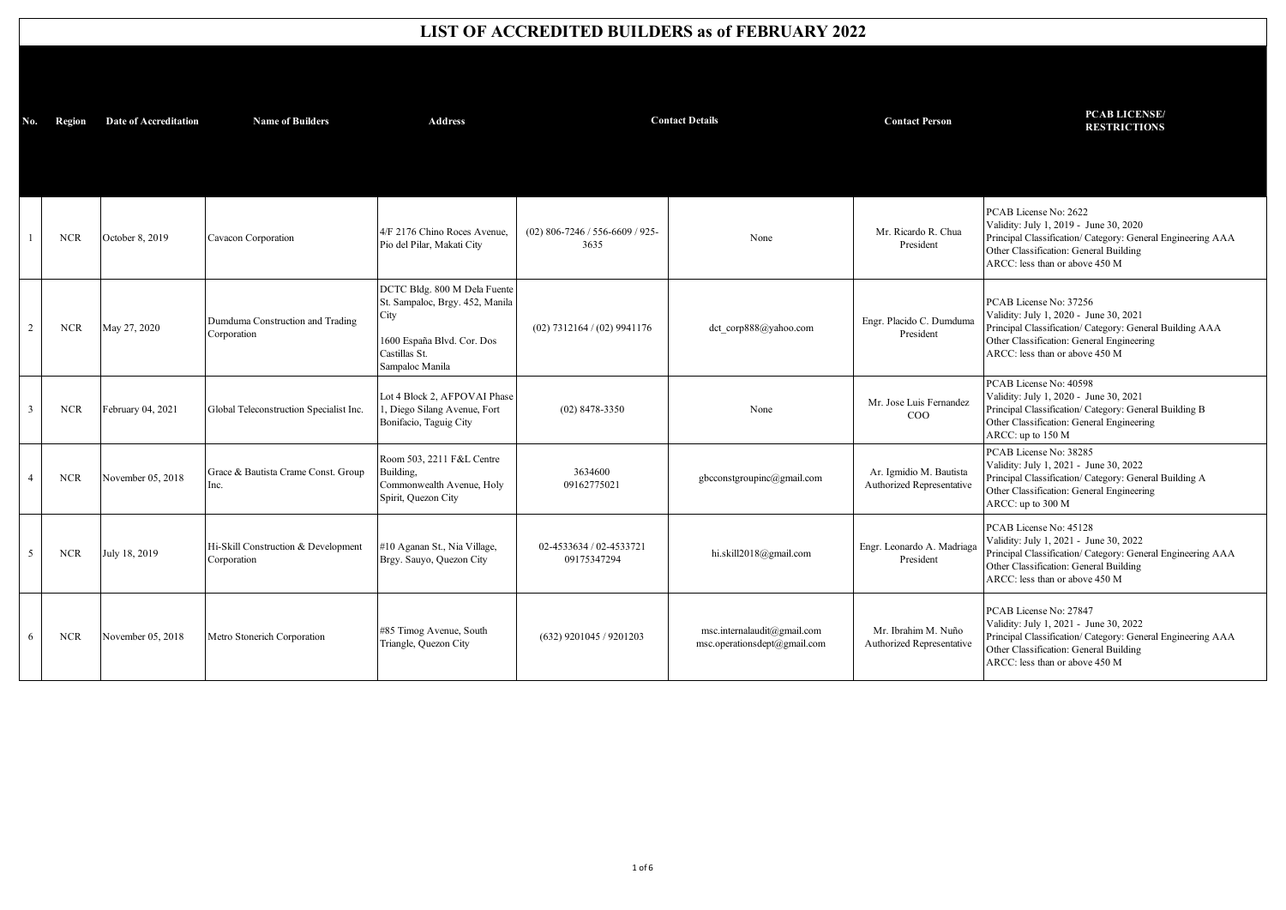## **LIST OF ACCREDITED BUILDERS as of FEBRUARY 2022**

| No.            | Region     | <b>Date of Accreditation</b> | <b>Name of Builders</b>                            | <b>Address</b>                                                                                                                            |                                           | <b>Contact Details</b>                                      | <b>Contact Person</b>                                | <b>PCAB LICENSE/</b><br><b>RESTRICTIONS</b>                                                                                                                                                                 |
|----------------|------------|------------------------------|----------------------------------------------------|-------------------------------------------------------------------------------------------------------------------------------------------|-------------------------------------------|-------------------------------------------------------------|------------------------------------------------------|-------------------------------------------------------------------------------------------------------------------------------------------------------------------------------------------------------------|
|                |            |                              |                                                    |                                                                                                                                           |                                           |                                                             |                                                      |                                                                                                                                                                                                             |
|                | <b>NCR</b> | October 8, 2019              | Cavacon Corporation                                | 4/F 2176 Chino Roces Avenue.<br>Pio del Pilar, Makati City                                                                                | $(02)$ 806-7246 / 556-6609 / 925-<br>3635 | None                                                        | Mr. Ricardo R. Chua<br>President                     | PCAB License No: 2622<br>Validity: July 1, 2019 - June 30, 2020<br>Principal Classification/ Category: General Engineering AAA<br>Other Classification: General Building<br>ARCC: less than or above 450 M  |
| 2              | <b>NCR</b> | May 27, 2020                 | Dumduma Construction and Trading<br>Corporation    | DCTC Bldg. 800 M Dela Fuente<br>St. Sampaloc, Brgy. 452, Manila<br>City<br>1600 España Blvd. Cor. Dos<br>Castillas St.<br>Sampaloc Manila | $(02)$ 7312164 / $(02)$ 9941176           | dct corp888@yahoo.com                                       | Engr. Placido C. Dumduma<br>President                | PCAB License No: 37256<br>Validity: July 1, 2020 - June 30, 2021<br>Principal Classification/ Category: General Building AAA<br>Other Classification: General Engineering<br>ARCC: less than or above 450 M |
| $\overline{3}$ | <b>NCR</b> | February 04, 2021            | Global Teleconstruction Specialist Inc.            | Lot 4 Block 2, AFPOVAI Phase<br>, Diego Silang Avenue, Fort<br>Bonifacio, Taguig City                                                     | $(02)$ 8478-3350                          | None                                                        | Mr. Jose Luis Fernandez<br>COO                       | PCAB License No: 40598<br>Validity: July 1, 2020 - June 30, 2021<br>Principal Classification/ Category: General Building B<br>Other Classification: General Engineering<br>ARCC: up to 150 M                |
| $\overline{4}$ | <b>NCR</b> | November 05, 2018            | Grace & Bautista Crame Const. Group<br>Inc.        | Room 503, 2211 F&L Centre<br>Building.<br>Commonwealth Avenue, Holy<br>Spirit, Quezon City                                                | 3634600<br>09162775021                    | gbcconstgroupinc@gmail.com                                  | Ar. Igmidio M. Bautista<br>Authorized Representative | PCAB License No: 38285<br>Validity: July 1, 2021 - June 30, 2022<br>Principal Classification/ Category: General Building A<br>Other Classification: General Engineering<br>ARCC: up to 300 M                |
| 5              | <b>NCR</b> | July 18, 2019                | Hi-Skill Construction & Development<br>Corporation | #10 Aganan St., Nia Village,<br>Brgy. Sauyo, Quezon City                                                                                  | 02-4533634 / 02-4533721<br>09175347294    | hi.skill2018@gmail.com                                      | Engr. Leonardo A. Madriaga<br>President              | PCAB License No: 45128<br>Validity: July 1, 2021 - June 30, 2022<br>Principal Classification/ Category: General Engineering AAA<br>Other Classification: General Building<br>ARCC: less than or above 450 M |
| 6              | <b>NCR</b> | November 05, 2018            | Metro Stonerich Corporation                        | #85 Timog Avenue, South<br>Triangle, Quezon City                                                                                          | $(632)$ 9201045 / 9201203                 | msc.internalaudit@gmail.com<br>msc.operationsdept@gmail.com | Mr. Ibrahim M. Nuño<br>Authorized Representative     | PCAB License No: 27847<br>Validity: July 1, 2021 - June 30, 2022<br>Principal Classification/ Category: General Engineering AAA<br>Other Classification: General Building<br>ARCC: less than or above 450 M |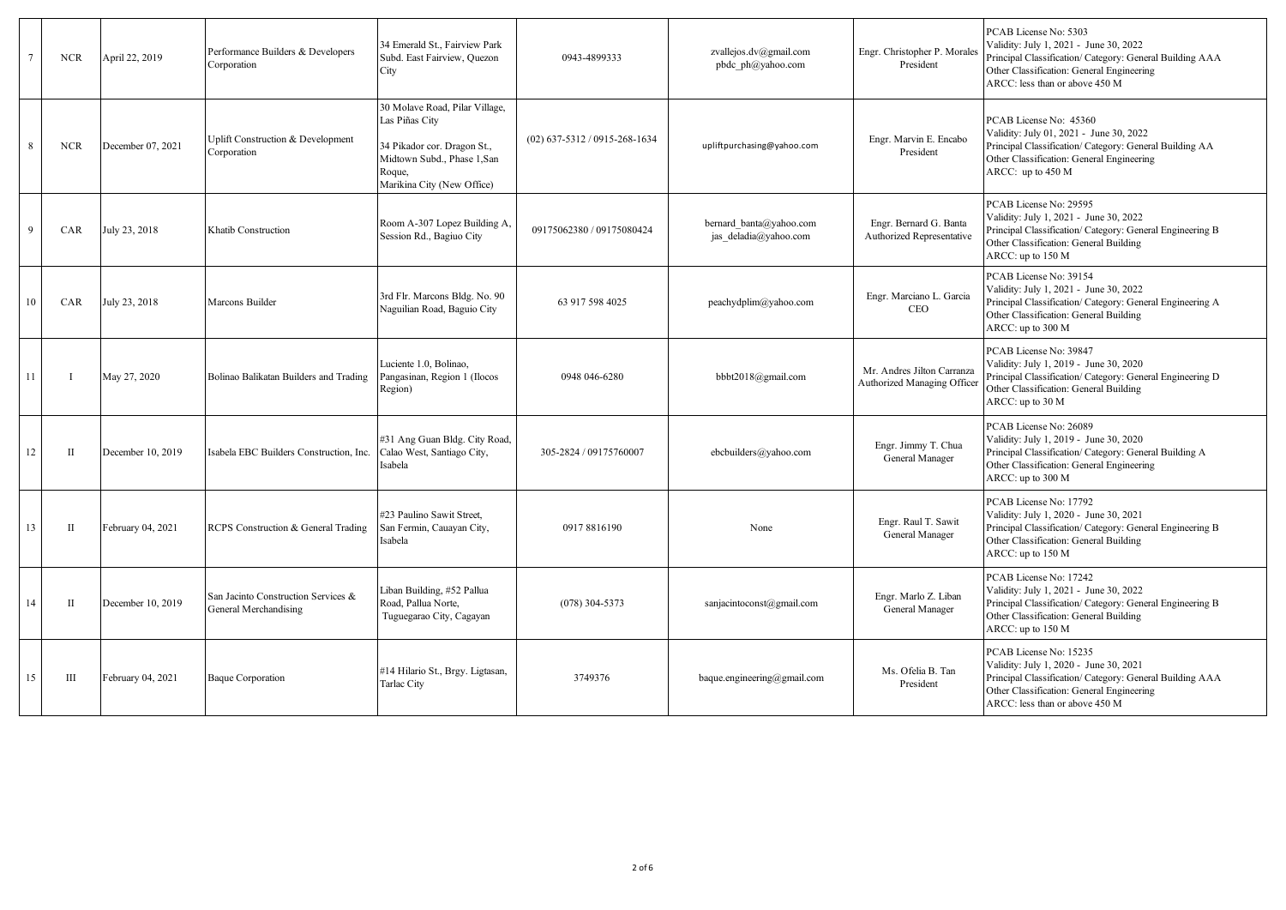|              | <b>NCR</b> | April 22, 2019    | Performance Builders & Developers<br>Corporation             | 34 Emerald St., Fairview Park<br>Subd. East Fairview, Quezon<br>City                                                                                   | 0943-4899333                    | zvallejos.dv@gmail.com<br>pbdc ph@yahoo.com      | Engr. Christopher P. Morales<br>President                 | PCAB License No: 5303<br>Validity: July 1, 2021 - June 30, 2022<br>Principal Classification/ Category: General Building AAA<br>Other Classification: General Engineering<br>ARCC: less than or above 450 M  |
|--------------|------------|-------------------|--------------------------------------------------------------|--------------------------------------------------------------------------------------------------------------------------------------------------------|---------------------------------|--------------------------------------------------|-----------------------------------------------------------|-------------------------------------------------------------------------------------------------------------------------------------------------------------------------------------------------------------|
| $\mathbf{R}$ | <b>NCR</b> | December 07, 2021 | Uplift Construction & Development<br>Corporation             | 30 Molave Road, Pilar Village,<br>Las Piñas City<br>34 Pikador cor. Dragon St.,<br>Midtown Subd., Phase 1, San<br>Roque,<br>Marikina City (New Office) | $(02)$ 637-5312 / 0915-268-1634 | upliftpurchasing@yahoo.com                       | Engr. Marvin E. Encabo<br>President                       | PCAB License No: 45360<br>Validity: July 01, 2021 - June 30, 2022<br>Principal Classification/ Category: General Building AA<br>Other Classification: General Engineering<br>ARCC: up to 450 M              |
| $\Omega$     | CAR        | July 23, 2018     | Khatib Construction                                          | Room A-307 Lopez Building A,<br>Session Rd., Bagiuo City                                                                                               | 09175062380 / 09175080424       | bernard banta@yahoo.com<br>jas deladia@yahoo.com | Engr. Bernard G. Banta<br>Authorized Representative       | PCAB License No: 29595<br>Validity: July 1, 2021 - June 30, 2022<br>Principal Classification/ Category: General Engineering B<br>Other Classification: General Building<br>ARCC: up to 150 M                |
| 10           | CAR        | July 23, 2018     | Marcons Builder                                              | 3rd Flr. Marcons Bldg. No. 90<br>Naguilian Road, Baguio City                                                                                           | 63 917 598 4025                 | peachydplim@yahoo.com                            | Engr. Marciano L. Garcia<br><b>CEO</b>                    | PCAB License No: 39154<br>Validity: July 1, 2021 - June 30, 2022<br>Principal Classification/ Category: General Engineering A<br>Other Classification: General Building<br>ARCC: up to 300 M                |
| 11           |            | May 27, 2020      | Bolinao Balikatan Builders and Trading                       | Luciente 1.0, Bolinao,<br>Pangasinan, Region 1 (Ilocos<br>Region)                                                                                      | 0948 046-6280                   | bbbt2018@gmail.com                               | Mr. Andres Jilton Carranza<br>Authorized Managing Officer | PCAB License No: 39847<br>Validity: July 1, 2019 - June 30, 2020<br>Principal Classification/ Category: General Engineering D<br>Other Classification: General Building<br>ARCC: up to 30 M                 |
| 12           | П          | December 10, 2019 | Isabela EBC Builders Construction, Inc.                      | #31 Ang Guan Bldg. City Road,<br>Calao West, Santiago City,<br>Isabela                                                                                 | 305-2824 / 09175760007          | ebcbuilders@yahoo.com                            | Engr. Jimmy T. Chua<br>General Manager                    | PCAB License No: 26089<br>Validity: July 1, 2019 - June 30, 2020<br>Principal Classification/ Category: General Building A<br>Other Classification: General Engineering<br>ARCC: up to 300 M                |
| 13           | П          | February 04, 2021 | RCPS Construction & General Trading                          | #23 Paulino Sawit Street,<br>San Fermin, Cauayan City,<br>Isabela                                                                                      | 0917 8816190                    | None                                             | Engr. Raul T. Sawit<br>General Manager                    | PCAB License No: 17792<br>Validity: July 1, 2020 - June 30, 2021<br>Principal Classification/ Category: General Engineering B<br>Other Classification: General Building<br>ARCC: up to 150 M                |
| 14           | П          | December 10, 2019 | San Jacinto Construction Services &<br>General Merchandising | Liban Building, #52 Pallua<br>Road, Pallua Norte,<br>Tuguegarao City, Cagayan                                                                          | $(078)$ 304-5373                | sanjacintoconst@gmail.com                        | Engr. Marlo Z. Liban<br>General Manager                   | PCAB License No: 17242<br>Validity: July 1, 2021 - June 30, 2022<br>Principal Classification/ Category: General Engineering B<br>Other Classification: General Building<br>ARCC: up to 150 M                |
| 15           | Ш          | February 04, 2021 | <b>Baque Corporation</b>                                     | #14 Hilario St., Brgy. Ligtasan,<br>Tarlac City                                                                                                        | 3749376                         | baque.engineering@gmail.com                      | Ms. Ofelia B. Tan<br>President                            | PCAB License No: 15235<br>Validity: July 1, 2020 - June 30, 2021<br>Principal Classification/ Category: General Building AAA<br>Other Classification: General Engineering<br>ARCC: less than or above 450 M |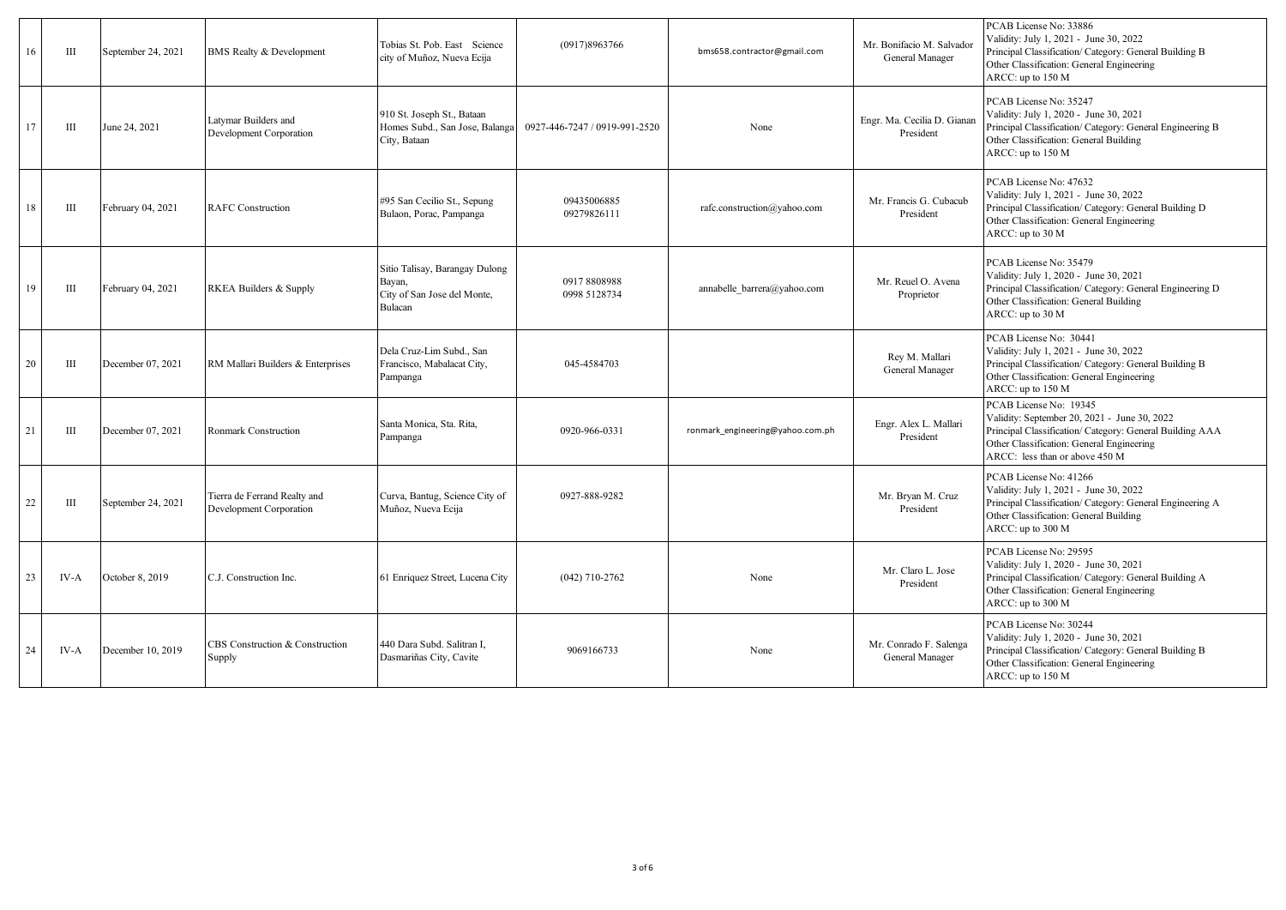| 16 | Ш    | September 24, 2021 | <b>BMS</b> Realty & Development                         | Tobias St. Pob. East Science<br>city of Muñoz, Nueva Ecija                         | (0917)8963766                 | bms658.contractor@gmail.com      | Mr. Bonifacio M. Salvador<br>General Manager | PCAB License No: 33886<br>Validity: July 1, 2021 - June 30, 2022<br>Principal Classification/ Category: General Building B<br>Other Classification: General Engineering<br>ARCC: up to 150 M                      |
|----|------|--------------------|---------------------------------------------------------|------------------------------------------------------------------------------------|-------------------------------|----------------------------------|----------------------------------------------|-------------------------------------------------------------------------------------------------------------------------------------------------------------------------------------------------------------------|
| 17 | Ш    | June 24, 2021      | Latymar Builders and<br>Development Corporation         | 910 St. Joseph St., Bataan<br>Homes Subd., San Jose, Balanga<br>City, Bataan       | 0927-446-7247 / 0919-991-2520 | None                             | Engr. Ma. Cecilia D. Gianan<br>President     | PCAB License No: 35247<br>Validity: July 1, 2020 - June 30, 2021<br>Principal Classification/ Category: General Engineering B<br>Other Classification: General Building<br>ARCC: up to 150 M                      |
| 18 | Ш    | February 04, 2021  | <b>RAFC</b> Construction                                | #95 San Cecilio St., Sepung<br>Bulaon, Porac, Pampanga                             | 09435006885<br>09279826111    | rafc.construction@yahoo.com      | Mr. Francis G. Cubacub<br>President          | PCAB License No: 47632<br>Validity: July 1, 2021 - June 30, 2022<br>Principal Classification/ Category: General Building D<br>Other Classification: General Engineering<br>ARCC: up to 30 M                       |
| 19 | Ш    | February 04, 2021  | RKEA Builders & Supply                                  | Sitio Talisay, Barangay Dulong<br>Bayan,<br>City of San Jose del Monte,<br>Bulacan | 09178808988<br>0998 5128734   | annabelle barrera@yahoo.com      | Mr. Reuel O. Avena<br>Proprietor             | PCAB License No: 35479<br>Validity: July 1, 2020 - June 30, 2021<br>Principal Classification/ Category: General Engineering D<br>Other Classification: General Building<br>ARCC: up to 30 M                       |
| 20 | Ш    | December 07, 2021  | RM Mallari Builders & Enterprises                       | Dela Cruz-Lim Subd., San<br>Francisco, Mabalacat City,<br>Pampanga                 | 045-4584703                   |                                  | Rey M. Mallari<br>General Manager            | PCAB License No: 30441<br>Validity: July 1, 2021 - June 30, 2022<br>Principal Classification/ Category: General Building B<br>Other Classification: General Engineering<br>ARCC: up to 150 M                      |
| 21 | Ш    | December 07, 2021  | <b>Ronmark Construction</b>                             | Santa Monica, Sta. Rita,<br>Pampanga                                               | 0920-966-0331                 | ronmark engineering@yahoo.com.ph | Engr. Alex L. Mallari<br>President           | PCAB License No: 19345<br>Validity: September 20, 2021 - June 30, 2022<br>Principal Classification/ Category: General Building AAA<br>Other Classification: General Engineering<br>ARCC: less than or above 450 M |
| 22 | Ш    | September 24, 2021 | Tierra de Ferrand Realty and<br>Development Corporation | Curva, Bantug, Science City of<br>Muñoz, Nueva Ecija                               | 0927-888-9282                 |                                  | Mr. Bryan M. Cruz<br>President               | PCAB License No: 41266<br>Validity: July 1, 2021 - June 30, 2022<br>Principal Classification/ Category: General Engineering A<br>Other Classification: General Building<br>ARCC: up to 300 M                      |
| 23 | IV-A | October 8, 2019    | C.J. Construction Inc.                                  | 61 Enriquez Street, Lucena City                                                    | $(042)$ 710-2762              | None                             | Mr. Claro L. Jose<br>President               | PCAB License No: 29595<br>Validity: July 1, 2020 - June 30, 2021<br>Principal Classification/ Category: General Building A<br>Other Classification: General Engineering<br>ARCC: up to 300 M                      |
| 24 | IV-A | December 10, 2019  | CBS Construction & Construction<br>Supply               | 440 Dara Subd. Salitran I.<br>Dasmariñas City, Cavite                              | 9069166733                    | None                             | Mr. Conrado F. Salenga<br>General Manager    | PCAB License No: 30244<br>Validity: July 1, 2020 - June 30, 2021<br>Principal Classification/ Category: General Building B<br>Other Classification: General Engineering<br>ARCC: up to 150 M                      |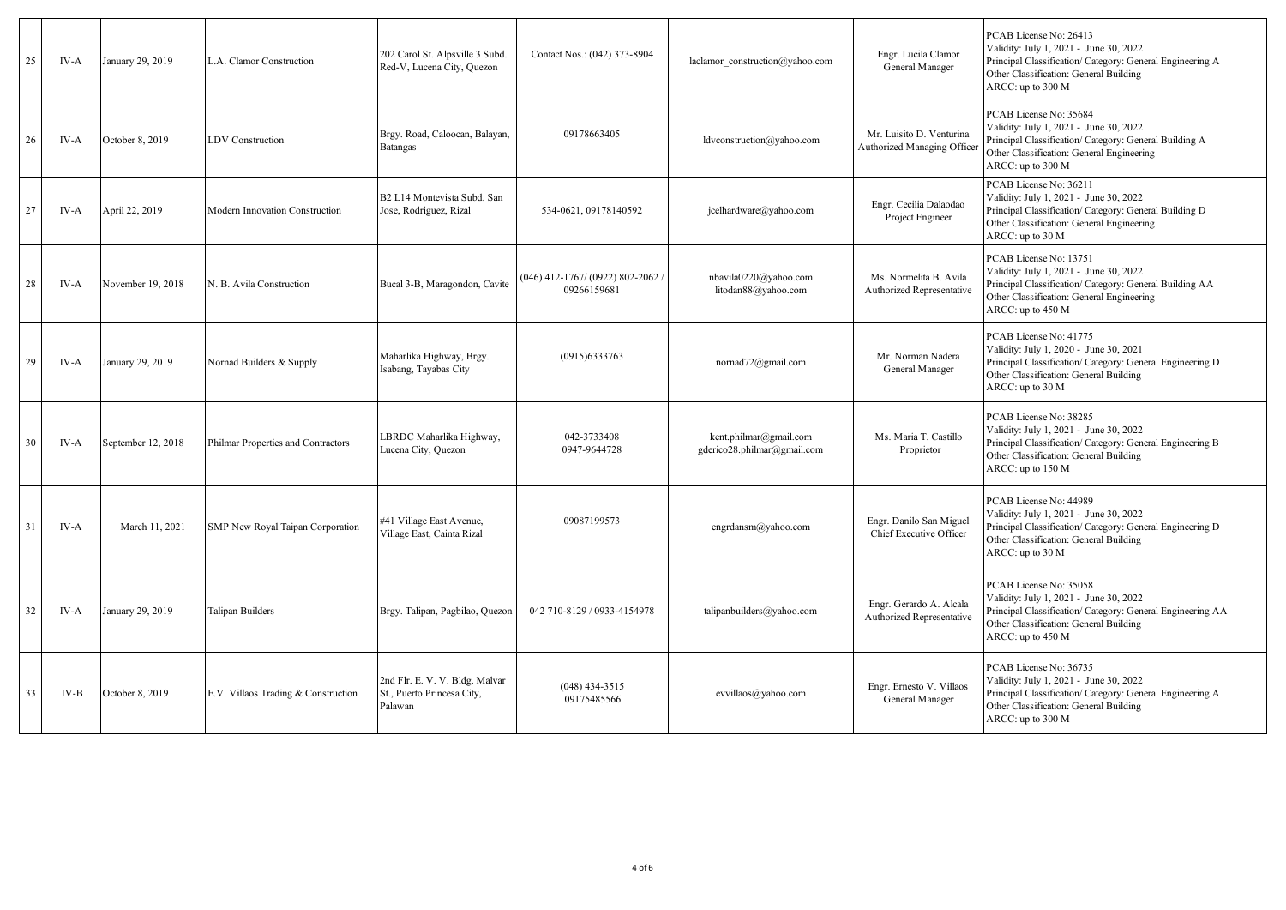| 25 | IV-A | January 29, 2019   | L.A. Clamor Construction            | 202 Carol St. Alpsville 3 Subd.<br>Red-V, Lucena City, Quezon           | Contact Nos.: (042) 373-8904                    | laclamor construction@yahoo.com                       | Engr. Lucila Clamor<br>General Manager                  | PCAB License No: 26413<br>Validity: July 1, 2021 - June 30, 2022<br>Principal Classification/ Category: General Engineering A<br>Other Classification: General Building<br>ARCC: up to 300 M  |
|----|------|--------------------|-------------------------------------|-------------------------------------------------------------------------|-------------------------------------------------|-------------------------------------------------------|---------------------------------------------------------|-----------------------------------------------------------------------------------------------------------------------------------------------------------------------------------------------|
| 26 | IV-A | October 8, 2019    | LDV Construction                    | Brgy. Road, Caloocan, Balayan,<br><b>Batangas</b>                       | 09178663405                                     | ldvconstruction@yahoo.com                             | Mr. Luisito D. Venturina<br>Authorized Managing Officer | PCAB License No: 35684<br>Validity: July 1, 2021 - June 30, 2022<br>Principal Classification/ Category: General Building A<br>Other Classification: General Engineering<br>ARCC: up to 300 M  |
| 27 | IV-A | April 22, 2019     | Modern Innovation Construction      | B2 L14 Montevista Subd. San<br>Jose, Rodriguez, Rizal                   | 534-0621, 09178140592                           | jcelhardware@yahoo.com                                | Engr. Cecilia Dalaodao<br>Project Engineer              | PCAB License No: 36211<br>Validity: July 1, 2021 - June 30, 2022<br>Principal Classification/ Category: General Building D<br>Other Classification: General Engineering<br>ARCC: up to 30 M   |
| 28 | IV-A | November 19, 2018  | N. B. Avila Construction            | Bucal 3-B, Maragondon, Cavite                                           | 046) 412-1767/ (0922) 802-2062 /<br>09266159681 | nbavila0220@yahoo.com<br>litodan88@yahoo.com          | Ms. Normelita B. Avila<br>Authorized Representative     | PCAB License No: 13751<br>Validity: July 1, 2021 - June 30, 2022<br>Principal Classification/ Category: General Building AA<br>Other Classification: General Engineering<br>ARCC: up to 450 M |
| 29 | IV-A | January 29, 2019   | Nornad Builders & Supply            | Maharlika Highway, Brgy.<br>Isabang, Tayabas City                       | (0915)6333763                                   | nornad72@gmail.com                                    | Mr. Norman Nadera<br>General Manager                    | PCAB License No: 41775<br>Validity: July 1, 2020 - June 30, 2021<br>Principal Classification/ Category: General Engineering D<br>Other Classification: General Building<br>ARCC: up to 30 M   |
| 30 | IV-A | September 12, 2018 | Philmar Properties and Contractors  | LBRDC Maharlika Highway,<br>Lucena City, Quezon                         | 042-3733408<br>0947-9644728                     | kent.philmar@gmail.com<br>gderico28.philmar@gmail.com | Ms. Maria T. Castillo<br>Proprietor                     | PCAB License No: 38285<br>Validity: July 1, 2021 - June 30, 2022<br>Principal Classification/ Category: General Engineering B<br>Other Classification: General Building<br>ARCC: up to 150 M  |
| 31 | IV-A | March 11, 2021     | SMP New Royal Taipan Corporation    | #41 Village East Avenue,<br>Village East, Cainta Rizal                  | 09087199573                                     | engrdansm@yahoo.com                                   | Engr. Danilo San Miguel<br>Chief Executive Officer      | PCAB License No: 44989<br>Validity: July 1, 2021 - June 30, 2022<br>Principal Classification/ Category: General Engineering D<br>Other Classification: General Building<br>ARCC: up to 30 M   |
| 32 | IV-A | January 29, 2019   | <b>Talipan Builders</b>             | Brgy. Talipan, Pagbilao, Quezon                                         | 042 710-8129 / 0933-4154978                     | talipanbuilders@yahoo.com                             | Engr. Gerardo A. Alcala<br>Authorized Representative    | PCAB License No: 35058<br>Validity: July 1, 2021 - June 30, 2022<br>Principal Classification/ Category: General Engineering AA<br>Other Classification: General Building<br>ARCC: up to 450 M |
| 33 | IV-B | October 8, 2019    | E.V. Villaos Trading & Construction | 2nd Flr. E. V. V. Bldg. Malvar<br>St., Puerto Princesa City,<br>Palawan | $(048)$ 434-3515<br>09175485566                 | evvillaos@yahoo.com                                   | Engr. Ernesto V. Villaos<br>General Manager             | PCAB License No: 36735<br>Validity: July 1, 2021 - June 30, 2022<br>Principal Classification/ Category: General Engineering A<br>Other Classification: General Building<br>ARCC: up to 300 M  |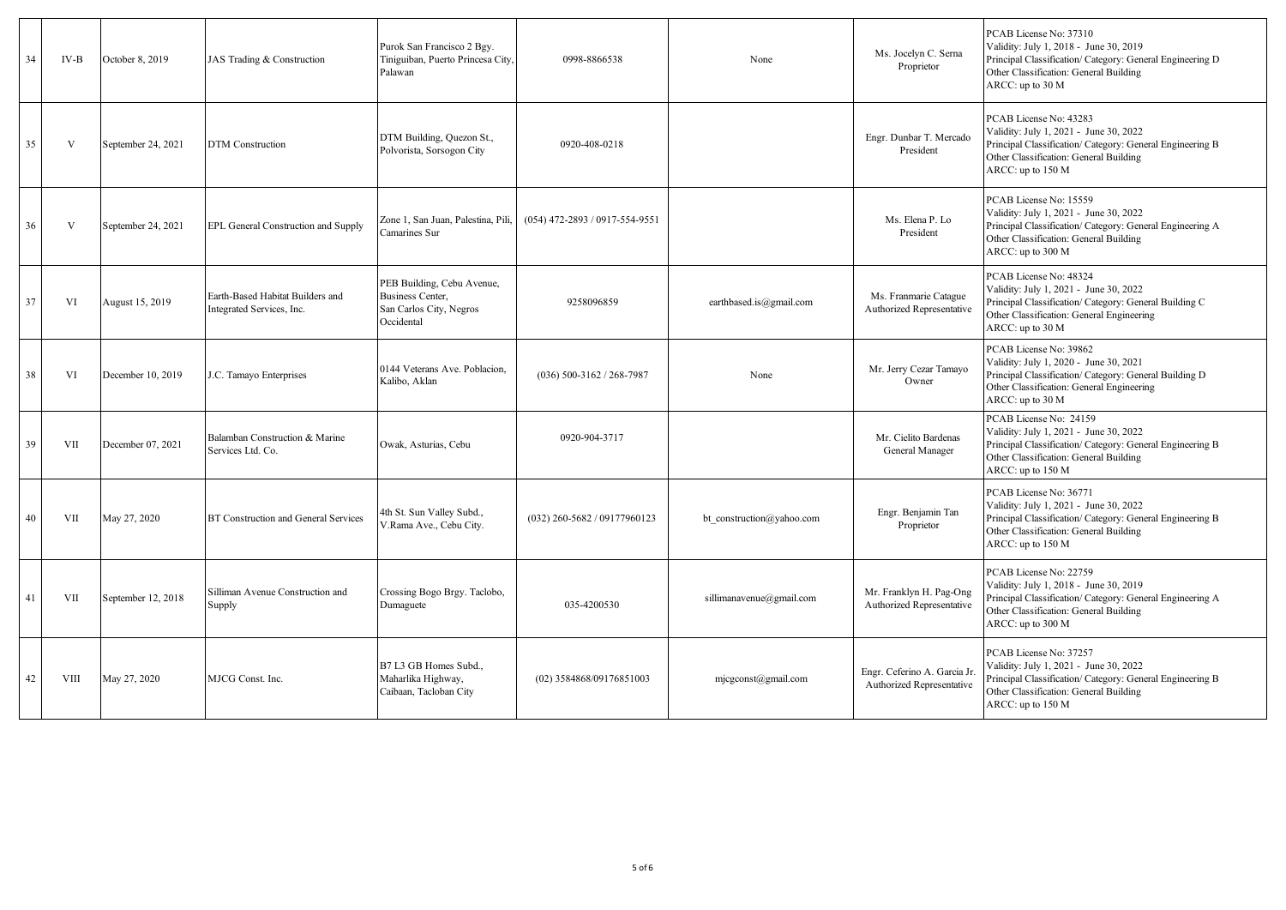| 34 | IV-B       | October 8, 2019    | JAS Trading & Construction                                    | Purok San Francisco 2 Bgy.<br>Tiniguiban, Puerto Princesa City,<br>Palawan              | 0998-8866538                   | None                      | Ms. Jocelyn C. Serna<br>Proprietor                       | PCAB License No: 37310<br>Validity: July 1, 2018 - June 30, 2019<br>Principal Classification/ Category: General Engineering D<br>Other Classification: General Building<br>ARCC: up to 30 M  |
|----|------------|--------------------|---------------------------------------------------------------|-----------------------------------------------------------------------------------------|--------------------------------|---------------------------|----------------------------------------------------------|----------------------------------------------------------------------------------------------------------------------------------------------------------------------------------------------|
| 35 | V          | September 24, 2021 | <b>DTM</b> Construction                                       | DTM Building, Quezon St.,<br>Polvorista, Sorsogon City                                  | 0920-408-0218                  |                           | Engr. Dunbar T. Mercado<br>President                     | PCAB License No: 43283<br>Validity: July 1, 2021 - June 30, 2022<br>Principal Classification/ Category: General Engineering B<br>Other Classification: General Building<br>ARCC: up to 150 M |
| 36 | V          | September 24, 2021 | EPL General Construction and Supply                           | Zone 1, San Juan, Palestina, Pili,<br>Camarines Sur                                     | (054) 472-2893 / 0917-554-9551 |                           | Ms. Elena P. Lo<br>President                             | PCAB License No: 15559<br>Validity: July 1, 2021 - June 30, 2022<br>Principal Classification/ Category: General Engineering A<br>Other Classification: General Building<br>ARCC: up to 300 M |
| 37 | VI         | August 15, 2019    | Earth-Based Habitat Builders and<br>Integrated Services, Inc. | PEB Building, Cebu Avenue,<br>Business Center,<br>San Carlos City, Negros<br>Occidental | 9258096859                     | earthbased.is@gmail.com   | Ms. Franmarie Catague<br>Authorized Representative       | PCAB License No: 48324<br>Validity: July 1, 2021 - June 30, 2022<br>Principal Classification/ Category: General Building C<br>Other Classification: General Engineering<br>ARCC: up to 30 M  |
| 38 | VI         | December 10, 2019  | J.C. Tamayo Enterprises                                       | 0144 Veterans Ave. Poblacion,<br>Kalibo, Aklan                                          | $(036)$ 500-3162 / 268-7987    | None                      | Mr. Jerry Cezar Tamayo<br>Owner                          | PCAB License No: 39862<br>Validity: July 1, 2020 - June 30, 2021<br>Principal Classification/ Category: General Building D<br>Other Classification: General Engineering<br>ARCC: up to 30 M  |
| 39 | <b>VII</b> | December 07, 2021  | Balamban Construction & Marine<br>Services Ltd. Co.           | Owak, Asturias, Cebu                                                                    | 0920-904-3717                  |                           | Mr. Cielito Bardenas<br>General Manager                  | PCAB License No: 24159<br>Validity: July 1, 2021 - June 30, 2022<br>Principal Classification/ Category: General Engineering B<br>Other Classification: General Building<br>ARCC: up to 150 M |
| 40 | VII        | May 27, 2020       | BT Construction and General Services                          | 4th St. Sun Valley Subd.,<br>V.Rama Ave., Cebu City.                                    | (032) 260-5682 / 09177960123   | bt construction@yahoo.com | Engr. Benjamin Tan<br>Proprietor                         | PCAB License No: 36771<br>Validity: July 1, 2021 - June 30, 2022<br>Principal Classification/ Category: General Engineering B<br>Other Classification: General Building<br>ARCC: up to 150 M |
| 41 | VII        | September 12, 2018 | Silliman Avenue Construction and<br>Supply                    | Crossing Bogo Brgy. Taclobo,<br>Dumaguete                                               | 035-4200530                    | sillimanavenue@gmail.com  | Mr. Franklyn H. Pag-Ong<br>Authorized Representative     | PCAB License No: 22759<br>Validity: July 1, 2018 - June 30, 2019<br>Principal Classification/ Category: General Engineering A<br>Other Classification: General Building<br>ARCC: up to 300 M |
| 42 | VIII       | May 27, 2020       | MJCG Const. Inc.                                              | B7 L3 GB Homes Subd.,<br>Maharlika Highway,<br>Caibaan, Tacloban City                   | (02) 3584868/09176851003       | $m$ jcgconst@gmail.com    | Engr. Ceferino A. Garcia Jr<br>Authorized Representative | PCAB License No: 37257<br>Validity: July 1, 2021 - June 30, 2022<br>Principal Classification/ Category: General Engineering B<br>Other Classification: General Building<br>ARCC: up to 150 M |